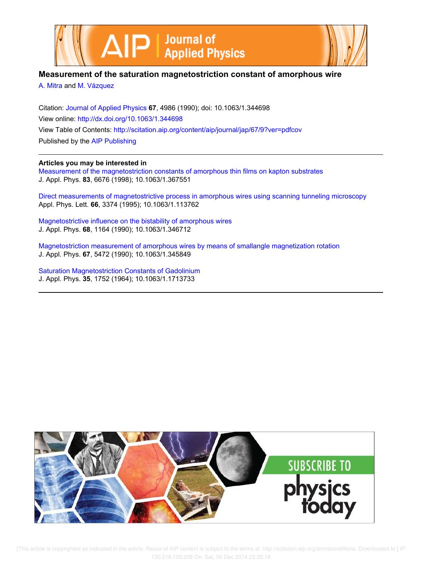



## **Measurement of the saturation magnetostriction constant of amorphous wire**

A. Mitra and M. Vázquez

Citation: Journal of Applied Physics **67**, 4986 (1990); doi: 10.1063/1.344698 View online: http://dx.doi.org/10.1063/1.344698 View Table of Contents: http://scitation.aip.org/content/aip/journal/jap/67/9?ver=pdfcov Published by the AIP Publishing

### **Articles you may be interested in**

Measurement of the magnetostriction constants of amorphous thin films on kapton substrates J. Appl. Phys. **83**, 6676 (1998); 10.1063/1.367551

Direct measurements of magnetostrictive process in amorphous wires using scanning tunneling microscopy Appl. Phys. Lett. **66**, 3374 (1995); 10.1063/1.113762

Magnetostrictive influence on the bistability of amorphous wires J. Appl. Phys. **68**, 1164 (1990); 10.1063/1.346712

Magnetostriction measurement of amorphous wires by means of smallangle magnetization rotation J. Appl. Phys. **67**, 5472 (1990); 10.1063/1.345849

Saturation Magnetostriction Constants of Gadolinium J. Appl. Phys. **35**, 1752 (1964); 10.1063/1.1713733



[This article is copyrighted as indicated in the article. Reuse of AIP content is subject to the terms at: http://scitation.aip.org/termsconditions. Downloaded to ] IP: 130.216.129.208 On: Sat, 06 Dec 2014 23:35:18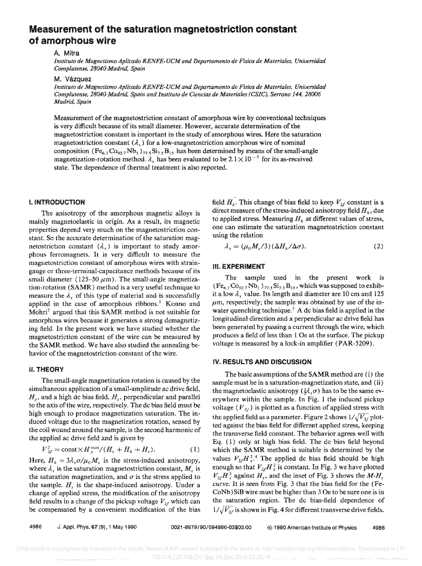# Measurement of the saturation magnetostrlctlon constant of amorphous wire

#### A. Mitra

*lnstituto de Magnetismo Aplicado RENFE-UCM and Departamento de Fisica de Mater/ales, Universidad Complutense, 28040 Madrid, Spain* 

M. Vazquez

*lnstituto de Magnetismo Aplicado RENFE-UCM and Departamento de Fisica de Materiales, Universidad Complutense, 28040 Madrid. Spain and Instituto de Clencias de Materiales rCSlC), Serrano* 144, *28006 Madn"d, Spain* 

Measurement of the magnetostriction constant of amorphous wire by conventional techniques is very difficult because of its small diameter. However, accurate determination of the magnetostriction constant is important in the study of amorphous wires. Here the saturation magnetostriction constant  $(\lambda)$  for a low-magnetostriction amorphous wire of nominal composition (Fe<sub>6.3</sub>Co<sub>92.7</sub>Nb<sub>1</sub>)<sub>77.5</sub>Si<sub>7.5</sub>B<sub>15</sub> has been determined by means of the small-angle magnetization-rotation method.  $\lambda_s$  has been evaluated to be 2.1  $\times$  10<sup>-7</sup> for its as-received state. The dependence of thermal treatment is also reported.

#### I. INTRODUCTION

The anisotropy of the amorphous magnetic alloys is mainly magnetoelastic in origin. As a result, its magnetic properties depend very much on the magnetostriction constant. So the accurate determination of the saturation magnetostriction constant  $(\lambda_s)$  is important to study amorphous ferromagnets. It is very difficult to measure the magnetostriction constant of amorphous wires with straingauge or three-terminal-capacitance methods because of its small diameter (125-50  $\mu$ m). The small-angle magnetization-rotation (SAMR) method is a very useful technique to measure the  $\lambda_s$  of this type of material and is successfully applied in the case of amorphous ribbons.<sup>1</sup> Konno and Mohri<sup>2</sup> argued that this SAMR method is not suitable for amorphous wires because it generates a strong demagnetizing field. In the present work we have studied whether the magnetostriction constant of the wire can be measured by the SAMR method. We have also studied the annealing behavior of the magnetostriction constant of the wire.

#### II. THEORY

The small-angle magnetization rotation is caused by the simultaneous application of a small-amplitude ac drive field,  $H<sub>y</sub>$ , and a high dc bias field,  $H<sub>z</sub>$ , perpendicular and parallel to the axis of the wire, respectively. The de bias field must be high enough to produce magnetization saturation. The induced voltage due to the magnetization rotation, sensed by the coil wound around the sample, is the second harmonic of the applied ae drive field and is given by

$$
V_{2f}^{2} = \text{const} \times H_{\nu}^{\text{max}} / (H_{z} + H_{k} + H_{s}). \tag{1}
$$

Here,  $H_k = 3\lambda_s \sigma / \mu_0 M_s$  is the stress-induced anisotropy, where  $\lambda_s$  is the saturation magnetostriction constant,  $M_s$  is the saturation magnetization, and  $\sigma$  is the stress applied to the sample.  $H<sub>s</sub>$  is the shape-induced anisotropy. Under a change of applied stress, the modification of the anisotropy field results in a change of the pickup voltage  $V_{2f}$  which can be compensated by a convenient modification of the bias

field  $H_z$ . This change of bias field to keep  $V_{2f}$  constant is a direct measure of the stress-induced anisotropy field  $H_k$ , due to applied stress. Measuring  $H_k$  at different values of stress, one can estimate the saturation magnetostriction constant using the relation

$$
\lambda_s = (\mu_0 M_s / 3) (\Delta H_k / \Delta \sigma). \tag{2}
$$

#### III. EXPERIMENT

The sample used in the present work is  $(Fe_{6,3}Co_{92,7}Nb_1)_{77,5}Si_{7,5}B_{15}$ , which was supposed to exhibit a low  $\lambda_s$  value. Its length and diameter are 10 cm and 125  $\mu$ m, respectively; the sample was obtained by use of the inwater quenching technique.<sup>3</sup> A dc bias field is applied in the longitudinal direction and a perpendicular ac drive field has been generated by passing a current through the wire, which produces a field of less than 1 Oe at the surface. The pickup voltage is measured by a lock-in amplifier (PAR-5209).

#### IV. RESULTS AND DISCUSSION

The basic assumptions of the SAMR method are (i) the sample must be in a saturation-magnetization state, and (ii) the magnetoelastic anisotropy ( $\mathcal{H}, \sigma$ ) has to be the same everywhere within the sample. In Fig. 1 the induced pickup voltage ( $V_{2f}$ ) is plotted as a function of applied stress with the applied field as a parameter. Figure 2 shows  $1/\sqrt{V_{2f}}$  plotted against the bias field for different applied stress, keeping the transverse field constant. The behavior agrees well with Eq. (1) only at high bias field. The dc bias field beyond which the SAMR method is suitable is determined by the values  $V_{2f}H_2^2$ .<sup>4</sup> The applied dc bias field should be high enough so that  $V_{2f}H_{z}^{2}$  is constant. In Fig. 3 we have plotted  $V_{2f}H_2^2$  against  $H_z$ , and the inset of Fig. 3 shows the  $M$ - $H_z$ curve. It is seen from Fig. 3 that the bias field for the (Fe-CoNb) SiB wire must be higher than 3 Oe to be sure one is in the saturation region. The de bias-field dependence of  $1/\sqrt{V_{2f}}$  is shown in Fig. 4 for different transverse drive fields.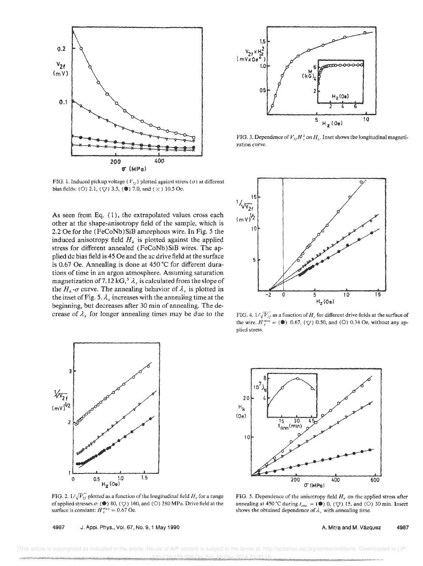

FIG. 1. Induced pickup voltage  $(V_{2f})$  plotted against stress  $(\sigma)$  at different bias fields: (O) 2.1, ( $\sqrt{$ ) 3.5, (<sup>8</sup>) 7.0, and ( $\times$ ) 10.5 Oe.

As seen from Eq. (1), the extrapolated values cross each other at the shape-anisotropy field of the sample, which is 2.2 Oe for the (FeCoNb)SiB amorphous wire. In Fig. 5 the induced anisotropy field  $H_k$  is plotted against the applied stress for different annealed (FeCoNb ) SiB wires. The applied dc bias field is 45 Oe and the ac drive field at the surface is 0.67 Oe. Annealing is done at 450  $^{\circ}$ C for different durations of time in an argon atmosphere. Assuming saturation magnetization of 7.12 kG,<sup>5</sup>  $\lambda_s$  is calculated from the slope of the  $H_k$ - $\sigma$  curve. The annealing behavior of  $\lambda_s$  is plotted in the inset of Fig. 5.  $\lambda_s$  increases with the annealing time at the beginning, but decreases after 30 min of annealing. The decrease of  $\lambda_s$  for longer annealing times may be due to the



FIG. 2.  $1/\sqrt{V_{2f}}$  plotted as a function of the longitudinal field  $H_z$  for a range of applied stresses  $\sigma$ : ( $\circledast$ ) 80, ( $\triangledown$ ) 160, and ( $\bigcirc$ ) 280 MPa. Drive field at the surface is constant:  $H_v^{max} = 0.67$  Oe.

4967 J. Appl. Phys., Vol. 67, No.9, i May 1990



FIG. 3. Dependence of  $V_{1f}H_2^2$  on  $H_2$ . Inset shows the longitudinal magnetization curve.



FIG. 4.  $1/\sqrt{V_{2f}}$  as a function of *H<sub>z</sub>* for different drive fields at the surface of the wire.  $H_{\nu}^{\text{max}} = (\circledast) \cdot 0.67$ , ( $\nabla$ ) 0.50, and (O) 0.34 Oe, without any applied stress.



FIG. 5. Dependence of the anisotropy field  $H_k$  on the applied stress after annealing at 450 °C during  $t_{\text{ann}} = (\circledast)$  0, ( $\bigtriangledown$ ) 15, and ( $\bigcirc$ ) 30 min. Insert shows the obtained dependence of  $\lambda_s$  with annealing time.

A. Mitra and M. Vazquez 4987